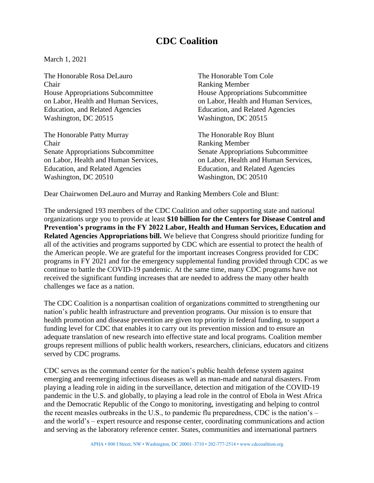## **CDC Coalition**

March 1, 2021

The Honorable Rosa DeLauro The Honorable Tom Cole Chair Ranking Member House Appropriations Subcommittee House Appropriations Subcommittee on Labor, Health and Human Services, on Labor, Health and Human Services, Education, and Related Agencies Education, and Related Agencies Washington, DC 20515 Washington, DC 20515

The Honorable Patty Murray The Honorable Roy Blunt **Chair** Ranking Member Senate Appropriations Subcommittee Senate Appropriations Subcommittee Education, and Related Agencies Education, and Related Agencies Washington, DC 20510 Washington, DC 20510

on Labor, Health and Human Services, on Labor, Health and Human Services,

Dear Chairwomen DeLauro and Murray and Ranking Members Cole and Blunt:

The undersigned 193 members of the CDC Coalition and other supporting state and national organizations urge you to provide at least **\$10 billion for the Centers for Disease Control and Prevention's programs in the FY 2022 Labor, Health and Human Services, Education and Related Agencies Appropriations bill.** We believe that Congress should prioritize funding for all of the activities and programs supported by CDC which are essential to protect the health of the American people. We are grateful for the important increases Congress provided for CDC programs in FY 2021 and for the emergency supplemental funding provided through CDC as we continue to battle the COVID-19 pandemic. At the same time, many CDC programs have not received the significant funding increases that are needed to address the many other health challenges we face as a nation.

The CDC Coalition is a nonpartisan coalition of organizations committed to strengthening our nation's public health infrastructure and prevention programs. Our mission is to ensure that health promotion and disease prevention are given top priority in federal funding, to support a funding level for CDC that enables it to carry out its prevention mission and to ensure an adequate translation of new research into effective state and local programs. Coalition member groups represent millions of public health workers, researchers, clinicians, educators and citizens served by CDC programs.

CDC serves as the command center for the nation's public health defense system against emerging and reemerging infectious diseases as well as man-made and natural disasters. From playing a leading role in aiding in the surveillance, detection and mitigation of the COVID-19 pandemic in the U.S. and globally, to playing a lead role in the control of Ebola in West Africa and the Democratic Republic of the Congo to monitoring, investigating and helping to control the recent measles outbreaks in the U.S., to pandemic flu preparedness, CDC is the nation's – and the world's – expert resource and response center, coordinating communications and action and serving as the laboratory reference center. States, communities and international partners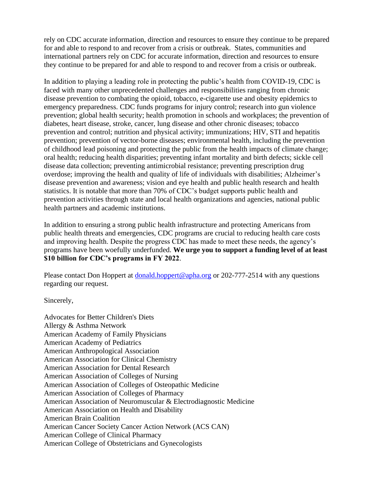rely on CDC accurate information, direction and resources to ensure they continue to be prepared for and able to respond to and recover from a crisis or outbreak. States, communities and international partners rely on CDC for accurate information, direction and resources to ensure they continue to be prepared for and able to respond to and recover from a crisis or outbreak.

In addition to playing a leading role in protecting the public's health from COVID-19, CDC is faced with many other unprecedented challenges and responsibilities ranging from chronic disease prevention to combating the opioid, tobacco, e-cigarette use and obesity epidemics to emergency preparedness. CDC funds programs for injury control; research into gun violence prevention; global health security; health promotion in schools and workplaces; the prevention of diabetes, heart disease, stroke, cancer, lung disease and other chronic diseases; tobacco prevention and control; nutrition and physical activity; immunizations; HIV, STI and hepatitis prevention; prevention of vector-borne diseases; environmental health, including the prevention of childhood lead poisoning and protecting the public from the health impacts of climate change; oral health; reducing health disparities; preventing infant mortality and birth defects; sickle cell disease data collection; preventing antimicrobial resistance; preventing prescription drug overdose; improving the health and quality of life of individuals with disabilities; Alzheimer's disease prevention and awareness; vision and eye health and public health research and health statistics. It is notable that more than 70% of CDC's budget supports public health and prevention activities through state and local health organizations and agencies, national public health partners and academic institutions.

In addition to ensuring a strong public health infrastructure and protecting Americans from public health threats and emergencies, CDC programs are crucial to reducing health care costs and improving health. Despite the progress CDC has made to meet these needs, the agency's programs have been woefully underfunded. **We urge you to support a funding level of at least \$10 billion for CDC's programs in FY 2022**.

Please contact Don Hoppert at [donald.hoppert@apha.org](mailto:donald.hoppert@apha.org) or 202-777-2514 with any questions regarding our request.

Sincerely,

Advocates for Better Children's Diets Allergy & Asthma Network American Academy of Family Physicians American Academy of Pediatrics American Anthropological Association American Association for Clinical Chemistry American Association for Dental Research American Association of Colleges of Nursing American Association of Colleges of Osteopathic Medicine American Association of Colleges of Pharmacy American Association of Neuromuscular & Electrodiagnostic Medicine American Association on Health and Disability American Brain Coalition American Cancer Society Cancer Action Network (ACS CAN) American College of Clinical Pharmacy American College of Obstetricians and Gynecologists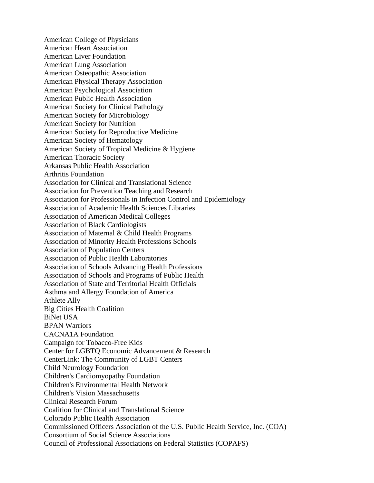American College of Physicians American Heart Association American Liver Foundation American Lung Association American Osteopathic Association American Physical Therapy Association American Psychological Association American Public Health Association American Society for Clinical Pathology American Society for Microbiology American Society for Nutrition American Society for Reproductive Medicine American Society of Hematology American Society of Tropical Medicine & Hygiene American Thoracic Society Arkansas Public Health Association Arthritis Foundation Association for Clinical and Translational Science Association for Prevention Teaching and Research Association for Professionals in Infection Control and Epidemiology Association of Academic Health Sciences Libraries Association of American Medical Colleges Association of Black Cardiologists Association of Maternal & Child Health Programs Association of Minority Health Professions Schools Association of Population Centers Association of Public Health Laboratories Association of Schools Advancing Health Professions Association of Schools and Programs of Public Health Association of State and Territorial Health Officials Asthma and Allergy Foundation of America Athlete Ally Big Cities Health Coalition BiNet USA BPAN Warriors CACNA1A Foundation Campaign for Tobacco-Free Kids Center for LGBTQ Economic Advancement & Research CenterLink: The Community of LGBT Centers Child Neurology Foundation Children's Cardiomyopathy Foundation Children's Environmental Health Network Children's Vision Massachusetts Clinical Research Forum Coalition for Clinical and Translational Science Colorado Public Health Association Commissioned Officers Association of the U.S. Public Health Service, Inc. (COA) Consortium of Social Science Associations Council of Professional Associations on Federal Statistics (COPAFS)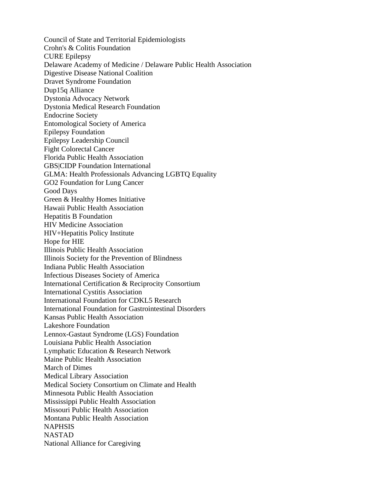Council of State and Territorial Epidemiologists Crohn's & Colitis Foundation CURE Epilepsy Delaware Academy of Medicine / Delaware Public Health Association Digestive Disease National Coalition Dravet Syndrome Foundation Dup15q Alliance Dystonia Advocacy Network Dystonia Medical Research Foundation Endocrine Society Entomological Society of America Epilepsy Foundation Epilepsy Leadership Council Fight Colorectal Cancer Florida Public Health Association GBS|CIDP Foundation International GLMA: Health Professionals Advancing LGBTQ Equality GO2 Foundation for Lung Cancer Good Days Green & Healthy Homes Initiative Hawaii Public Health Association Hepatitis B Foundation HIV Medicine Association HIV+Hepatitis Policy Institute Hope for HIE Illinois Public Health Association Illinois Society for the Prevention of Blindness Indiana Public Health Association Infectious Diseases Society of America International Certification & Reciprocity Consortium International Cystitis Association International Foundation for CDKL5 Research International Foundation for Gastrointestinal Disorders Kansas Public Health Association Lakeshore Foundation Lennox-Gastaut Syndrome (LGS) Foundation Louisiana Public Health Association Lymphatic Education & Research Network Maine Public Health Association March of Dimes Medical Library Association Medical Society Consortium on Climate and Health Minnesota Public Health Association Mississippi Public Health Association Missouri Public Health Association Montana Public Health Association **NAPHSIS** NASTAD National Alliance for Caregiving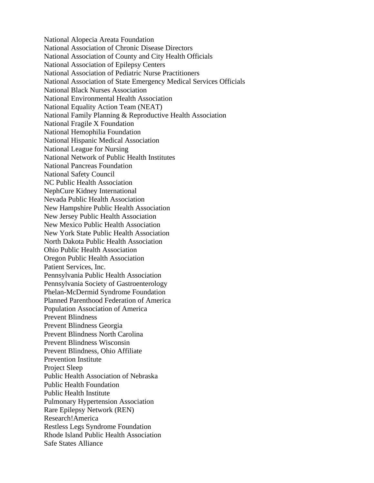National Alopecia Areata Foundation National Association of Chronic Disease Directors National Association of County and City Health Officials National Association of Epilepsy Centers National Association of Pediatric Nurse Practitioners National Association of State Emergency Medical Services Officials National Black Nurses Association National Environmental Health Association National Equality Action Team (NEAT) National Family Planning & Reproductive Health Association National Fragile X Foundation National Hemophilia Foundation National Hispanic Medical Association National League for Nursing National Network of Public Health Institutes National Pancreas Foundation National Safety Council NC Public Health Association NephCure Kidney International Nevada Public Health Association New Hampshire Public Health Association New Jersey Public Health Association New Mexico Public Health Association New York State Public Health Association North Dakota Public Health Association Ohio Public Health Association Oregon Public Health Association Patient Services, Inc. Pennsylvania Public Health Association Pennsylvania Society of Gastroenterology Phelan-McDermid Syndrome Foundation Planned Parenthood Federation of America Population Association of America Prevent Blindness Prevent Blindness Georgia Prevent Blindness North Carolina Prevent Blindness Wisconsin Prevent Blindness, Ohio Affiliate Prevention Institute Project Sleep Public Health Association of Nebraska Public Health Foundation Public Health Institute Pulmonary Hypertension Association Rare Epilepsy Network (REN) Research!America Restless Legs Syndrome Foundation Rhode Island Public Health Association Safe States Alliance